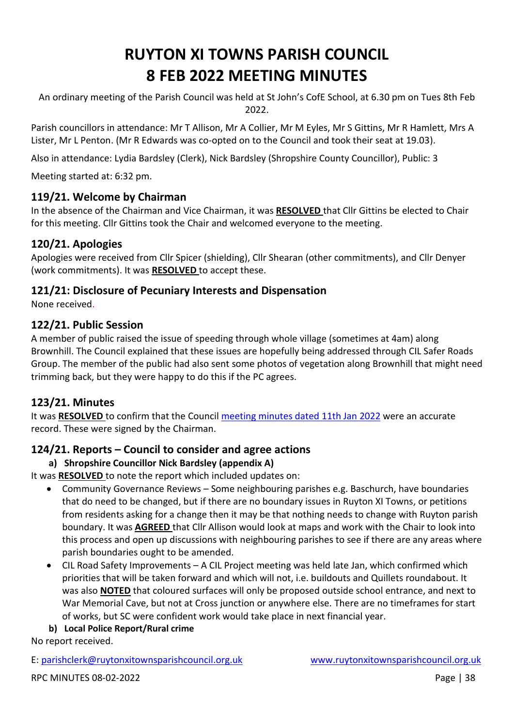# **RUYTON XI TOWNS PARISH COUNCIL 8 FEB 2022 MEETING MINUTES**

An ordinary meeting of the Parish Council was held at St John's CofE School, at 6.30 pm on Tues 8th Feb 2022.

Parish councillors in attendance: Mr T Allison, Mr A Collier, Mr M Eyles, Mr S Gittins, Mr R Hamlett, Mrs A Lister, Mr L Penton. (Mr R Edwards was co-opted on to the Council and took their seat at 19.03).

Also in attendance: Lydia Bardsley (Clerk), Nick Bardsley (Shropshire County Councillor), Public: 3

Meeting started at: 6:32 pm.

## **119/21. Welcome by Chairman**

In the absence of the Chairman and Vice Chairman, it was **RESOLVED** that Cllr Gittins be elected to Chair for this meeting. Cllr Gittins took the Chair and welcomed everyone to the meeting.

# **120/21. Apologies**

Apologies were received from Cllr Spicer (shielding), Cllr Shearan (other commitments), and Cllr Denyer (work commitments). It was **RESOLVED** to accept these.

# **121/21: Disclosure of Pecuniary Interests and Dispensation**

None received.

## **122/21. Public Session**

A member of public raised the issue of speeding through whole village (sometimes at 4am) along Brownhill. The Council explained that these issues are hopefully being addressed through CIL Safer Roads Group. The member of the public had also sent some photos of vegetation along Brownhill that might need trimming back, but they were happy to do this if the PC agrees.

# **123/21. Minutes**

It was **RESOLVED** to confirm that the Council [meeting minutes dated 11th Jan](http://www.ruytonxitownsparishcouncil.org.uk/wp-content/uploads/2022/02/Jan-2022-minutes-1.pdf) 2022 were an accurate record. These were signed by the Chairman.

# **124/21. Reports – Council to consider and agree actions**

## **a) Shropshire Councillor Nick Bardsley (appendix A)**

It was **RESOLVED** to note the report which included updates on:

- Community Governance Reviews Some neighbouring parishes e.g. Baschurch, have boundaries that do need to be changed, but if there are no boundary issues in Ruyton XI Towns, or petitions from residents asking for a change then it may be that nothing needs to change with Ruyton parish boundary. It was **AGREED** that Cllr Allison would look at maps and work with the Chair to look into this process and open up discussions with neighbouring parishes to see if there are any areas where parish boundaries ought to be amended.
- CIL Road Safety Improvements A CIL Project meeting was held late Jan, which confirmed which priorities that will be taken forward and which will not, i.e. buildouts and Quillets roundabout. It was also **NOTED** that coloured surfaces will only be proposed outside school entrance, and next to War Memorial Cave, but not at Cross junction or anywhere else. There are no timeframes for start of works, but SC were confident work would take place in next financial year.

#### **b) Local Police Report/Rural crime**

No report received.

E: [parishclerk@ruytonxitownsparishcouncil.org.uk](mailto:parishclerk@ruytonxitownsparishcouncil) [www.ruytonxitownsparishcouncil.org.uk](http://www.ruytonxitownsparishcouncil.org.uk/)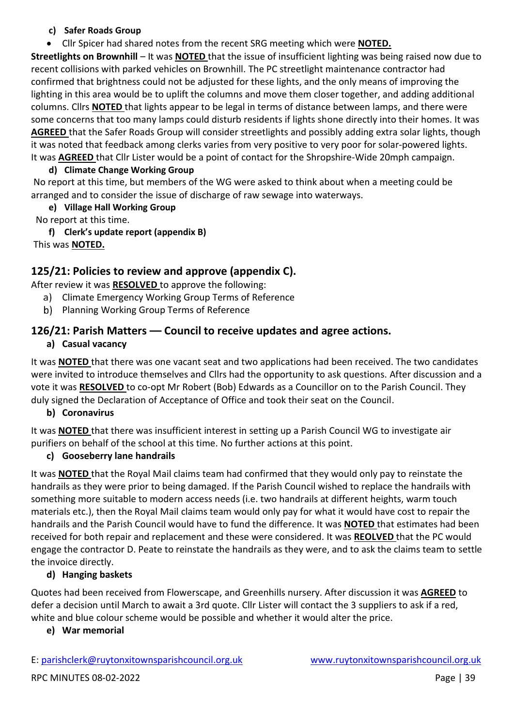#### **c) Safer Roads Group**

• Cllr Spicer had shared notes from the recent SRG meeting which were **NOTED.** 

**Streetlights on Brownhill** – It was **NOTED** that the issue of insufficient lighting was being raised now due to recent collisions with parked vehicles on Brownhill. The PC streetlight maintenance contractor had confirmed that brightness could not be adjusted for these lights, and the only means of improving the lighting in this area would be to uplift the columns and move them closer together, and adding additional columns. Cllrs **NOTED** that lights appear to be legal in terms of distance between lamps, and there were some concerns that too many lamps could disturb residents if lights shone directly into their homes. It was **AGREED** that the Safer Roads Group will consider streetlights and possibly adding extra solar lights, though it was noted that feedback among clerks varies from very positive to very poor for solar-powered lights. It was **AGREED** that Cllr Lister would be a point of contact for the Shropshire-Wide 20mph campaign.

## **d) Climate Change Working Group**

No report at this time, but members of the WG were asked to think about when a meeting could be arranged and to consider the issue of discharge of raw sewage into waterways.

**e) Village Hall Working Group**

No report at this time.

**f) Clerk's update report (appendix B)** This was **NOTED.**

# **125/21: Policies to review and approve (appendix C).**

After review it was **RESOLVED** to approve the following:

- a) Climate Emergency Working Group Terms of Reference
- b) Planning Working Group Terms of Reference

# **126/21: Parish Matters –– Council to receive updates and agree actions.**

## **a) Casual vacancy**

It was **NOTED** that there was one vacant seat and two applications had been received. The two candidates were invited to introduce themselves and Cllrs had the opportunity to ask questions. After discussion and a vote it was **RESOLVED** to co-opt Mr Robert (Bob) Edwards as a Councillor on to the Parish Council. They duly signed the Declaration of Acceptance of Office and took their seat on the Council.

## **b) Coronavirus**

It was **NOTED** that there was insufficient interest in setting up a Parish Council WG to investigate air purifiers on behalf of the school at this time. No further actions at this point.

## **c) Gooseberry lane handrails**

It was **NOTED** that the Royal Mail claims team had confirmed that they would only pay to reinstate the handrails as they were prior to being damaged. If the Parish Council wished to replace the handrails with something more suitable to modern access needs (i.e. two handrails at different heights, warm touch materials etc.), then the Royal Mail claims team would only pay for what it would have cost to repair the handrails and the Parish Council would have to fund the difference. It was **NOTED** that estimates had been received for both repair and replacement and these were considered. It was **REOLVED** that the PC would engage the contractor D. Peate to reinstate the handrails as they were, and to ask the claims team to settle the invoice directly.

## **d) Hanging baskets**

Quotes had been received from Flowerscape, and Greenhills nursery. After discussion it was **AGREED** to defer a decision until March to await a 3rd quote. Cllr Lister will contact the 3 suppliers to ask if a red, white and blue colour scheme would be possible and whether it would alter the price.

## **e) War memorial**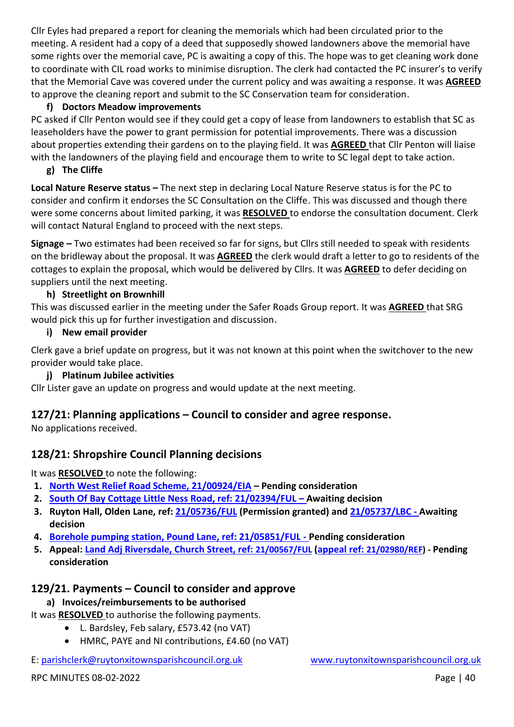Cllr Eyles had prepared a report for cleaning the memorials which had been circulated prior to the meeting. A resident had a copy of a deed that supposedly showed landowners above the memorial have some rights over the memorial cave, PC is awaiting a copy of this. The hope was to get cleaning work done to coordinate with CIL road works to minimise disruption. The clerk had contacted the PC insurer's to verify that the Memorial Cave was covered under the current policy and was awaiting a response. It was **AGREED** to approve the cleaning report and submit to the SC Conservation team for consideration.

#### **f) Doctors Meadow improvements**

PC asked if Cllr Penton would see if they could get a copy of lease from landowners to establish that SC as leaseholders have the power to grant permission for potential improvements. There was a discussion about properties extending their gardens on to the playing field. It was **AGREED** that Cllr Penton will liaise with the landowners of the playing field and encourage them to write to SC legal dept to take action.

#### **g) The Cliffe**

**Local Nature Reserve status –** The next step in declaring Local Nature Reserve status is for the PC to consider and confirm it endorses the SC Consultation on the Cliffe. This was discussed and though there were some concerns about limited parking, it was **RESOLVED** to endorse the consultation document. Clerk will contact Natural England to proceed with the next steps.

**Signage –** Two estimates had been received so far for signs, but Cllrs still needed to speak with residents on the bridleway about the proposal. It was **AGREED** the clerk would draft a letter to go to residents of the cottages to explain the proposal, which would be delivered by Cllrs. It was **AGREED** to defer deciding on suppliers until the next meeting.

#### **h) Streetlight on Brownhill**

This was discussed earlier in the meeting under the Safer Roads Group report. It was **AGREED** that SRG would pick this up for further investigation and discussion.

#### **i) New email provider**

Clerk gave a brief update on progress, but it was not known at this point when the switchover to the new provider would take place.

#### **j) Platinum Jubilee activities**

Cllr Lister gave an update on progress and would update at the next meeting.

## **127/21: Planning applications – Council to consider and agree response.**

No applications received.

## **128/21: Shropshire Council Planning decisions**

It was **RESOLVED** to note the following:

- **1. [North West Relief Road Scheme, 21/00924/EIA](https://pa.shropshire.gov.uk/online-applications/applicationDetails.do?activeTab=summary&keyVal=QOXI5QTD06Z00) – Pending consideration**
- **2. [South Of Bay Cottage Little Ness Road, ref: 21/02394/FUL](https://pa.shropshire.gov.uk/online-applications/applicationDetails.do?activeTab=summary&keyVal=QSWEBQTD06Z00) – Awaiting decision**
- **3. Ruyton Hall, Olden Lane, ref: [21/05736/FUL](https://pa.shropshire.gov.uk/online-applications/applicationDetails.do?activeTab=summary&keyVal=R3REBVTDK3M00) (Permission granted) and [21/05737/LBC](https://pa.shropshire.gov.uk/online-applications/applicationDetails.do?activeTab=summary&keyVal=R3RECATDK3N00) - Awaiting decision**
- **4. [Borehole pumping station, Pound Lane, ref: 21/05851/FUL](https://pa.shropshire.gov.uk/online-applications/applicationDetails.do?activeTab=summary&keyVal=R467M8TDK9X00) - Pending consideration**
- **5. Appeal: [Land Adj Riversdale, Church Street, ref:](https://pa.shropshire.gov.uk/online-applications/applicationDetails.do?activeTab=summary&keyVal=QNYVN9TDKGI00) [21/00567/FUL](https://pa.shropshire.gov.uk/online-applications/applicationDetails.do?activeTab=summary&keyVal=QNYVN9TDKGI00) [\(appeal ref:](https://pa.shropshire.gov.uk/online-applications/appealDetails.do?activeTab=summary&keyVal=R4ICPBTD01O00) [21/02980/REF\)](https://pa.shropshire.gov.uk/online-applications/appealDetails.do?activeTab=summary&keyVal=R4ICPBTD01O00) - Pending consideration**

## **129/21. Payments – Council to consider and approve**

#### **a) Invoices/reimbursements to be authorised**

It was **RESOLVED** to authorise the following payments.

- L. Bardsley, Feb salary, £573.42 (no VAT)
- HMRC, PAYE and NI contributions, £4.60 (no VAT)

## E: [parishclerk@ruytonxitownsparishcouncil.org.uk](mailto:parishclerk@ruytonxitownsparishcouncil) [www.ruytonxitownsparishcouncil.org.uk](http://www.ruytonxitownsparishcouncil.org.uk/)

RPC MINUTES 08-02-2022 **Page 140**